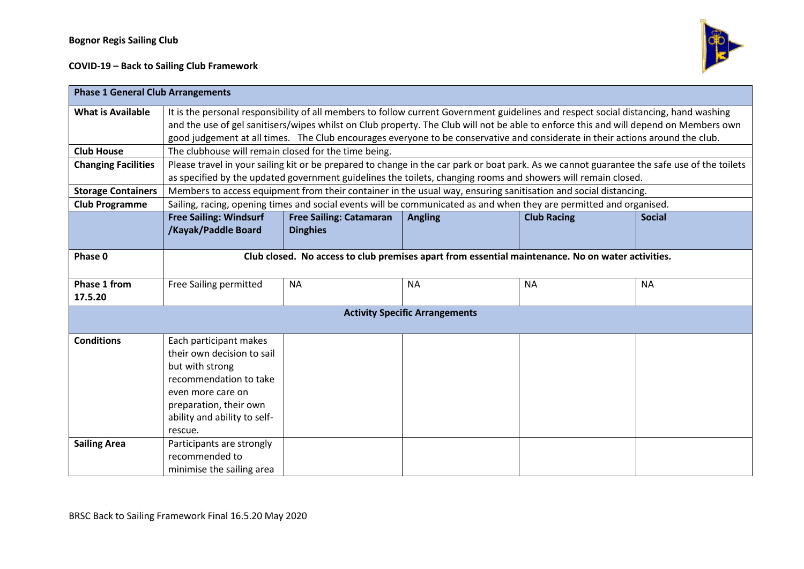## **COVID-19 – Back to Sailing Club Framework**



| <b>Phase 1 General Club Arrangements</b> |                                                                                                                                             |                                |                |                    |               |  |  |
|------------------------------------------|---------------------------------------------------------------------------------------------------------------------------------------------|--------------------------------|----------------|--------------------|---------------|--|--|
| <b>What is Available</b>                 | It is the personal responsibility of all members to follow current Government guidelines and respect social distancing, hand washing        |                                |                |                    |               |  |  |
|                                          | and the use of gel sanitisers/wipes whilst on Club property. The Club will not be able to enforce this and will depend on Members own       |                                |                |                    |               |  |  |
|                                          | good judgement at all times. The Club encourages everyone to be conservative and considerate in their actions around the club.              |                                |                |                    |               |  |  |
| <b>Club House</b>                        | The clubhouse will remain closed for the time being.                                                                                        |                                |                |                    |               |  |  |
| <b>Changing Facilities</b>               | Please travel in your sailing kit or be prepared to change in the car park or boat park. As we cannot guarantee the safe use of the toilets |                                |                |                    |               |  |  |
|                                          | as specified by the updated government guidelines the toilets, changing rooms and showers will remain closed.                               |                                |                |                    |               |  |  |
| <b>Storage Containers</b>                | Members to access equipment from their container in the usual way, ensuring sanitisation and social distancing.                             |                                |                |                    |               |  |  |
| <b>Club Programme</b>                    | Sailing, racing, opening times and social events will be communicated as and when they are permitted and organised.                         |                                |                |                    |               |  |  |
|                                          | <b>Free Sailing: Windsurf</b>                                                                                                               | <b>Free Sailing: Catamaran</b> | <b>Angling</b> | <b>Club Racing</b> | <b>Social</b> |  |  |
|                                          | /Kayak/Paddle Board                                                                                                                         | <b>Dinghies</b>                |                |                    |               |  |  |
| Phase 0                                  | Club closed. No access to club premises apart from essential maintenance. No on water activities.                                           |                                |                |                    |               |  |  |
|                                          |                                                                                                                                             |                                |                |                    |               |  |  |
| Phase 1 from                             | Free Sailing permitted                                                                                                                      | <b>NA</b>                      | <b>NA</b>      | <b>NA</b>          | <b>NA</b>     |  |  |
| 17.5.20                                  |                                                                                                                                             |                                |                |                    |               |  |  |
| <b>Activity Specific Arrangements</b>    |                                                                                                                                             |                                |                |                    |               |  |  |
|                                          |                                                                                                                                             |                                |                |                    |               |  |  |
| <b>Conditions</b>                        | Each participant makes                                                                                                                      |                                |                |                    |               |  |  |
|                                          | their own decision to sail                                                                                                                  |                                |                |                    |               |  |  |
|                                          | but with strong                                                                                                                             |                                |                |                    |               |  |  |
|                                          | recommendation to take                                                                                                                      |                                |                |                    |               |  |  |
|                                          | even more care on                                                                                                                           |                                |                |                    |               |  |  |
|                                          | preparation, their own                                                                                                                      |                                |                |                    |               |  |  |
|                                          | ability and ability to self-                                                                                                                |                                |                |                    |               |  |  |
|                                          | rescue.                                                                                                                                     |                                |                |                    |               |  |  |
| <b>Sailing Area</b>                      | Participants are strongly                                                                                                                   |                                |                |                    |               |  |  |
|                                          | recommended to                                                                                                                              |                                |                |                    |               |  |  |
|                                          | minimise the sailing area                                                                                                                   |                                |                |                    |               |  |  |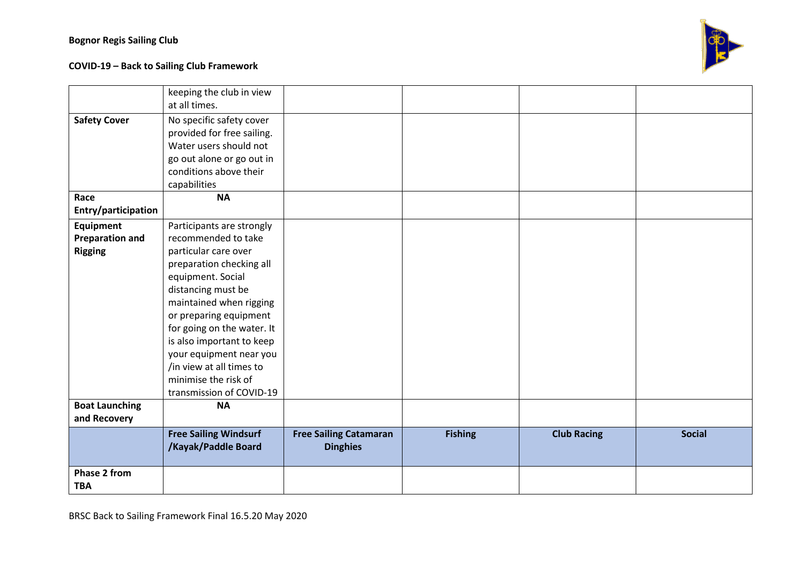

## **COVID-19 – Back to Sailing Club Framework**

|                        | keeping the club in view<br>at all times.                                                                                                               |                               |                |                    |               |
|------------------------|---------------------------------------------------------------------------------------------------------------------------------------------------------|-------------------------------|----------------|--------------------|---------------|
| <b>Safety Cover</b>    | No specific safety cover<br>provided for free sailing.<br>Water users should not<br>go out alone or go out in<br>conditions above their<br>capabilities |                               |                |                    |               |
| Race                   | <b>NA</b>                                                                                                                                               |                               |                |                    |               |
| Entry/participation    |                                                                                                                                                         |                               |                |                    |               |
| Equipment              | Participants are strongly                                                                                                                               |                               |                |                    |               |
| <b>Preparation and</b> | recommended to take                                                                                                                                     |                               |                |                    |               |
| <b>Rigging</b>         | particular care over                                                                                                                                    |                               |                |                    |               |
|                        | preparation checking all<br>equipment. Social                                                                                                           |                               |                |                    |               |
|                        | distancing must be                                                                                                                                      |                               |                |                    |               |
|                        | maintained when rigging                                                                                                                                 |                               |                |                    |               |
|                        | or preparing equipment                                                                                                                                  |                               |                |                    |               |
|                        | for going on the water. It                                                                                                                              |                               |                |                    |               |
|                        | is also important to keep                                                                                                                               |                               |                |                    |               |
|                        | your equipment near you                                                                                                                                 |                               |                |                    |               |
|                        | /in view at all times to                                                                                                                                |                               |                |                    |               |
|                        | minimise the risk of                                                                                                                                    |                               |                |                    |               |
|                        | transmission of COVID-19                                                                                                                                |                               |                |                    |               |
| <b>Boat Launching</b>  | <b>NA</b>                                                                                                                                               |                               |                |                    |               |
| and Recovery           |                                                                                                                                                         |                               |                |                    |               |
|                        | <b>Free Sailing Windsurf</b>                                                                                                                            | <b>Free Sailing Catamaran</b> | <b>Fishing</b> | <b>Club Racing</b> | <b>Social</b> |
|                        | /Kayak/Paddle Board                                                                                                                                     | <b>Dinghies</b>               |                |                    |               |
| <b>Phase 2 from</b>    |                                                                                                                                                         |                               |                |                    |               |
| <b>TBA</b>             |                                                                                                                                                         |                               |                |                    |               |